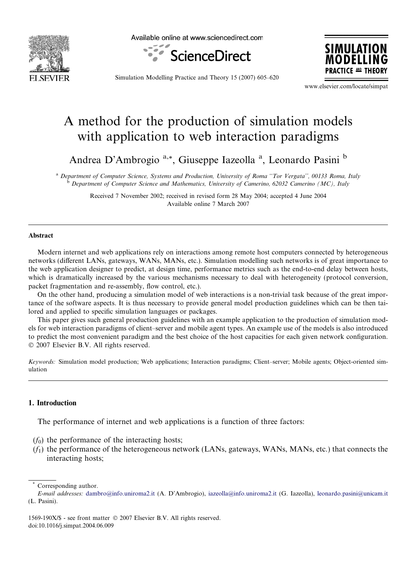

Available online at www.sciencedirect.com





Simulation Modelling Practice and Theory 15 (2007) 605–620

www.elsevier.com/locate/simpat

## A method for the production of simulation models with application to web interaction paradigms

Andrea D'Ambrogio<sup>a,\*</sup>, Giuseppe Iazeolla<sup>a</sup>, Leonardo Pasini<sup>b</sup>

a Department of Computer Science, Systems and Production, University of Roma "Tor Vergata", 00133 Roma, Italy <sup>b</sup> Department of Computer Science and Mathematics, University of Camerino, 62032 Camerino (MC), Italy

> Received 7 November 2002; received in revised form 28 May 2004; accepted 4 June 2004 Available online 7 March 2007

## Abstract

Modern internet and web applications rely on interactions among remote host computers connected by heterogeneous networks (different LANs, gateways, WANs, MANs, etc.). Simulation modelling such networks is of great importance to the web application designer to predict, at design time, performance metrics such as the end-to-end delay between hosts, which is dramatically increased by the various mechanisms necessary to deal with heterogeneity (protocol conversion, packet fragmentation and re-assembly, flow control, etc.).

On the other hand, producing a simulation model of web interactions is a non-trivial task because of the great importance of the software aspects. It is thus necessary to provide general model production guidelines which can be then tailored and applied to specific simulation languages or packages.

This paper gives such general production guidelines with an example application to the production of simulation models for web interaction paradigms of client–server and mobile agent types. An example use of the models is also introduced to predict the most convenient paradigm and the best choice of the host capacities for each given network configuration. © 2007 Elsevier B.V. All rights reserved.

Keywords: Simulation model production; Web applications; Interaction paradigms; Client–server; Mobile agents; Object-oriented simulation

## 1. Introduction

The performance of internet and web applications is a function of three factors:

- $(f_0)$  the performance of the interacting hosts;
- $(f_1)$  the performance of the heterogeneous network (LANs, gateways, WANs, MANs, etc.) that connects the interacting hosts;

Corresponding author.

E-mail addresses: [dambro@info.uniroma2.it](mailto:dambro@info.uniroma2.it) (A. D'Ambrogio), [iazeolla@info.uniroma2.it](mailto:iazeolla@info.uniroma2.it) (G. Iazeolla), [leonardo.pasini@unicam.it](mailto:leonardo.pasini@unicam.it) (L. Pasini).

<sup>1569-190</sup>X/\$ - see front matter © 2007 Elsevier B.V. All rights reserved. doi:10.1016/j.simpat.2004.06.009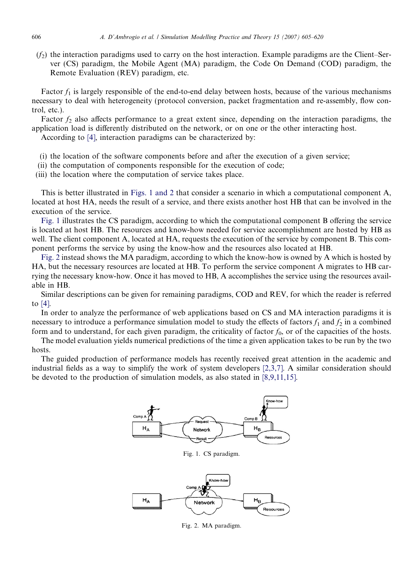$(f<sub>2</sub>)$  the interaction paradigms used to carry on the host interaction. Example paradigms are the Client–Server (CS) paradigm, the Mobile Agent (MA) paradigm, the Code On Demand (COD) paradigm, the Remote Evaluation (REV) paradigm, etc.

Factor  $f_1$  is largely responsible of the end-to-end delay between hosts, because of the various mechanisms necessary to deal with heterogeneity (protocol conversion, packet fragmentation and re-assembly, flow control, etc.).

Factor  $f_2$  also affects performance to a great extent since, depending on the interaction paradigms, the application load is differently distributed on the network, or on one or the other interacting host.

According to [\[4\],](#page--1-0) interaction paradigms can be characterized by:

- (i) the location of the software components before and after the execution of a given service;
- (ii) the computation of components responsible for the execution of code;
- (iii) the location where the computation of service takes place.

This is better illustrated in Figs. 1 and 2 that consider a scenario in which a computational component A, located at host HA, needs the result of a service, and there exists another host HB that can be involved in the execution of the service.

Fig. 1 illustrates the CS paradigm, according to which the computational component B offering the service is located at host HB. The resources and know-how needed for service accomplishment are hosted by HB as well. The client component A, located at HA, requests the execution of the service by component B. This component performs the service by using the know-how and the resources also located at HB.

Fig. 2 instead shows the MA paradigm, according to which the know-how is owned by A which is hosted by HA, but the necessary resources are located at HB. To perform the service component A migrates to HB carrying the necessary know-how. Once it has moved to HB, A accomplishes the service using the resources available in HB.

Similar descriptions can be given for remaining paradigms, COD and REV, for which the reader is referred to [\[4\].](#page--1-0)

In order to analyze the performance of web applications based on CS and MA interaction paradigms it is necessary to introduce a performance simulation model to study the effects of factors  $f_1$  and  $f_2$  in a combined form and to understand, for each given paradigm, the criticality of factor  $f_0$ , or of the capacities of the hosts.

The model evaluation yields numerical predictions of the time a given application takes to be run by the two hosts.

The guided production of performance models has recently received great attention in the academic and industrial fields as a way to simplify the work of system developers [\[2,3,7\].](#page--1-0) A similar consideration should be devoted to the production of simulation models, as also stated in [\[8,9,11,15\].](#page--1-0)



Fig. 1. CS paradigm.



Fig. 2. MA paradigm.